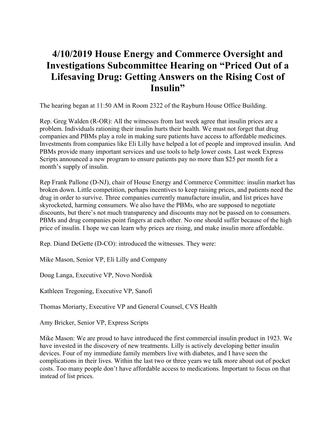## **4/10/2019 House Energy and Commerce Oversight and Investigations Subcommittee Hearing on "Priced Out of a Lifesaving Drug: Getting Answers on the Rising Cost of Insulin"**

The hearing began at 11:50 AM in Room 2322 of the Rayburn House Office Building.

Rep. Greg Walden (R-OR): All the witnesses from last week agree that insulin prices are a problem. Individuals rationing their insulin hurts their health. We must not forget that drug companies and PBMs play a role in making sure patients have access to affordable medicines. Investments from companies like Eli Lilly have helped a lot of people and improved insulin. And PBMs provide many important services and use tools to help lower costs. Last week Express Scripts announced a new program to ensure patients pay no more than \$25 per month for a month's supply of insulin.

Rep Frank Pallone (D-NJ), chair of House Energy and Commerce Committee: insulin market has broken down. Little competition, perhaps incentives to keep raising prices, and patients need the drug in order to survive. Three companies currently manufacture insulin, and list prices have skyrocketed, harming consumers. We also have the PBMs, who are supposed to negotiate discounts, but there's not much transparency and discounts may not be passed on to consumers. PBMs and drug companies point fingers at each other. No one should suffer because of the high price of insulin. I hope we can learn why prices are rising, and make insulin more affordable.

Rep. Diand DeGette (D-CO): introduced the witnesses. They were:

Mike Mason, Senior VP, Eli Lilly and Company

Doug Langa, Executive VP, Novo Nordisk

Kathleen Tregoning, Executive VP, Sanofi

Thomas Moriarty, Executive VP and General Counsel, CVS Health

Amy Bricker, Senior VP, Express Scripts

Mike Mason: We are proud to have introduced the first commercial insulin product in 1923. We have invested in the discovery of new treatments. Lilly is actively developing better insulin devices. Four of my immediate family members live with diabetes, and I have seen the complications in their lives. Within the last two or three years we talk more about out of pocket costs. Too many people don't have affordable access to medications. Important to focus on that instead of list prices.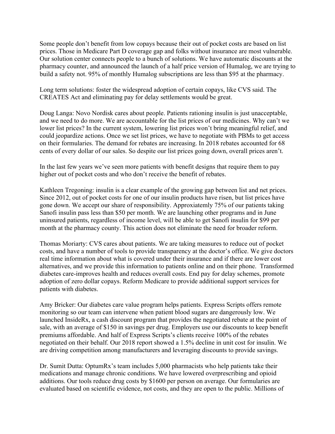Some people don't benefit from low copays because their out of pocket costs are based on list prices. Those in Medicare Part D coverage gap and folks without insurance are most vulnerable. Our solution center connects people to a bunch of solutions. We have automatic discounts at the pharmacy counter, and announced the launch of a half price version of Humalog, we are trying to build a safety not. 95% of monthly Humalog subscriptions are less than \$95 at the pharmacy.

Long term solutions: foster the widespread adoption of certain copays, like CVS said. The CREATES Act and eliminating pay for delay settlements would be great.

Doug Langa: Novo Nordisk cares about people. Patients rationing insulin is just unacceptable, and we need to do more. We are accountable for the list prices of our medicines. Why can't we lower list prices? In the current system, lowering list prices won't bring meaningful relief, and could jeopardize actions. Once we set list prices, we have to negotiate with PBMs to get access on their formularies. The demand for rebates are increasing. In 2018 rebates accounted for 68 cents of every dollar of our sales. So despite our list prices going down, overall prices aren't.

In the last few years we've seen more patients with benefit designs that require them to pay higher out of pocket costs and who don't receive the benefit of rebates.

Kathleen Tregoning: insulin is a clear example of the growing gap between list and net prices. Since 2012, out of pocket costs for one of our insulin products have risen, but list prices have gone down. We accept our share of responsibility. Approxiatemly 75% of our patients taking Sanofi insulin pass less than \$50 per month. We are launching other programs and in June uninsured patients, regardless of income level, will be able to get Sanofi insulin for \$99 per month at the pharmacy county. This action does not eliminate the need for broader reform.

Thomas Moriarty: CVS cares about patients. We are taking measures to reduce out of pocket costs, and have a number of tools to provide transparency at the doctor's office. We give doctors real time information about what is covered under their insurance and if there are lower cost alternatives, and we provide this information to patients online and on their phone. Transformed diabetes care-improves health and reduces overall costs. End pay for delay schemes, promote adoption of zero dollar copays. Reform Medicare to provide additional support services for patients with diabetes.

Amy Bricker: Our diabetes care value program helps patients. Express Scripts offers remote monitoring so our team can intervene when patient blood sugars are dangerously low. We launched InsideRx, a cash discount program that provides the negotiated rebate at the point of sale, with an average of \$150 in savings per drug. Employers use our discounts to keep benefit premiums affordable. And half of Express Scripts's clients receive 100% of the rebates negotiated on their behalf. Our 2018 report showed a 1.5% decline in unit cost for insulin. We are driving competition among manufacturers and leveraging discounts to provide savings.

Dr. Sumit Dutta: OptumRx's team includes 5,000 pharmacists who help patients take their medications and manage chronic conditions. We have lowered overprescribing and opioid additions. Our tools reduce drug costs by \$1600 per person on average. Our formularies are evaluated based on scientific evidence, not costs, and they are open to the public. Millions of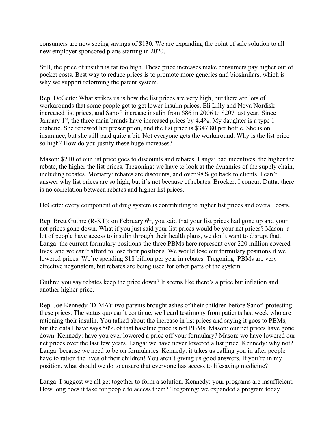consumers are now seeing savings of \$130. We are expanding the point of sale solution to all new employer sponsored plans starting in 2020.

Still, the price of insulin is far too high. These price increases make consumers pay higher out of pocket costs. Best way to reduce prices is to promote more generics and biosimilars, which is why we support reforming the patent system.

Rep. DeGette: What strikes us is how the list prices are very high, but there are lots of workarounds that some people get to get lower insulin prices. Eli Lilly and Nova Nordisk increased list prices, and Sanofi increase insulin from \$86 in 2006 to \$207 last year. Since January  $1<sup>st</sup>$ , the three main brands have increased prices by 4.4%. My daughter is a type 1 diabetic. She renewed her prescription, and the list price is \$347.80 per bottle. She is on insurance, but she still paid quite a bit. Not everyone gets the workaround. Why is the list price so high? How do you justify these huge increases?

Mason: \$210 of our list price goes to discounts and rebates. Langa: bad incentives, the higher the rebate, the higher the list prices. Tregoning: we have to look at the dynamics of the supply chain, including rebates. Moriarty: rebates are discounts, and over 98% go back to clients. I can't answer why list prices are so high, but it's not because of rebates. Brocker: I concur. Dutta: there is no correlation between rebates and higher list prices.

DeGette: every component of drug system is contributing to higher list prices and overall costs.

Rep. Brett Guthre  $(R-KT)$ : on February  $6<sup>th</sup>$ , you said that your list prices had gone up and your net prices gone down. What if you just said your list prices would be your net prices? Mason: a lot of people have access to insulin through their health plans, we don't want to disrupt that. Langa: the current formulary positions-the three PBMs here represent over 220 million covered lives, and we can't afford to lose their positions. We would lose our formulary positions if we lowered prices. We're spending \$18 billion per year in rebates. Tregoning: PBMs are very effective negotiators, but rebates are being used for other parts of the system.

Guthre: you say rebates keep the price down? It seems like there's a price but inflation and another higher price.

Rep. Joe Kennedy (D-MA): two parents brought ashes of their children before Sanofi protesting these prices. The status quo can't continue, we heard testimony from patients last week who are rationing their insulin. You talked about the increase in list prices and saying it goes to PBMs, but the data I have says 50% of that baseline price is not PBMs. Mason: our net prices have gone down. Kennedy: have you ever lowered a price off your formulary? Mason: we have lowered our net prices over the last few years. Langa: we have never lowered a list price. Kennedy: why not? Langa: because we need to be on formularies. Kennedy: it takes us calling you in after people have to ration the lives of their children! You aren't giving us good answers. If you're in my position, what should we do to ensure that everyone has access to lifesaving medicine?

Langa: I suggest we all get together to form a solution. Kennedy: your programs are insufficient. How long does it take for people to access them? Tregoning: we expanded a program today.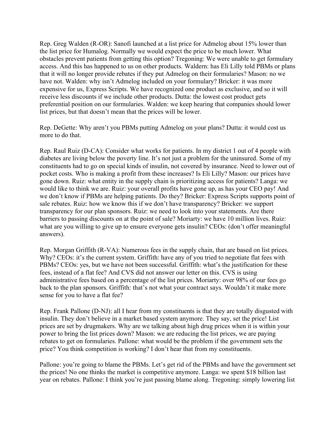Rep. Greg Walden (R-OR): Sanofi launched at a list price for Admelog about 15% lower than the list price for Humalog. Normally we would expect the price to be much lower. What obstacles prevent patients from getting this option? Tregoning: We were unable to get formulary access. And this has happened to us on other products. Waldern: has Eli Lilly told PBMs or plans that it will no longer provide rebates if they put Admelog on their formularies? Mason: no we have not. Walden: why isn't Admelog included on your formulary? Bricker: it was more expensive for us, Express Scripts. We have recognized one product as exclusive, and so it will receive less discounts if we include other products. Dutta: the lowest cost product gets preferential position on our formularies. Walden: we keep hearing that companies should lower list prices, but that doesn't mean that the prices will be lower.

Rep. DeGette: Why aren't you PBMs putting Admelog on your plans? Dutta: it would cost us more to do that.

Rep. Raul Ruiz (D-CA): Consider what works for patients. In my district 1 out of 4 people with diabetes are living below the poverty line. It's not just a problem for the uninsured. Some of my constituents had to go on special kinds of insulin, not covered by insurance. Need to lower out of pocket costs. Who is making a profit from these increases? Is Eli Lilly? Mason: our prices have gone down. Ruiz: what entity in the supply chain is prioritizing access for patients? Langa: we would like to think we are. Ruiz: your overall profits have gone up, as has your CEO pay! And we don't know if PBMs are helping patients. Do they? Bricker: Express Scripts supports point of sale rebates. Ruiz: how we know this if we don't have transparency? Bricker: we support transparency for our plan sponsors. Ruiz: we need to look into your statements. Are there barriers to passing discounts on at the point of sale? Moriarty: we have 10 million lives. Ruiz: what are you willing to give up to ensure everyone gets insulin? CEOs: (don't offer meaningful answers).

Rep. Morgan Griffith (R-VA): Numerous fees in the supply chain, that are based on list prices. Why? CEOs: it's the current system. Griffith: have any of you tried to negotiate flat fees with PBMs? CEOs: yes, but we have not been successful. Griffith: what's the justification for these fees, instead of a flat fee? And CVS did not answer our letter on this. CVS is using administrative fees based on a percentage of the list prices. Moriarty: over 98% of our fees go back to the plan sponsors. Griffith: that's not what your contract says. Wouldn't it make more sense for you to have a flat fee?

Rep. Frank Pallone (D-NJ): all I hear from my constituents is that they are totally disgusted with insulin. They don't believe in a market based system anymore. They say, set the price! List prices are set by drugmakers. Why are we talking about high drug prices when it is within your power to bring the list prices down? Mason: we are reducing the list prices, we are paying rebates to get on formularies. Pallone: what would be the problem if the government sets the price? You think competition is working? I don't hear that from my constituents.

Pallone: you're going to blame the PBMs. Let's get rid of the PBMs and have the government set the prices! No one thinks the market is competitive anymore. Langa: we spent \$18 billion last year on rebates. Pallone: I think you're just passing blame along. Tregoning: simply lowering list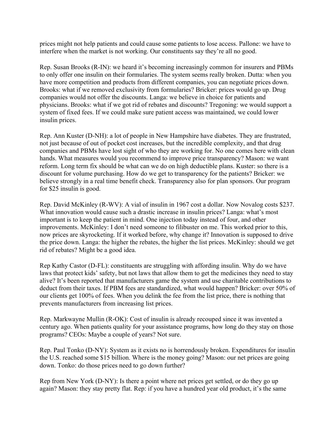prices might not help patients and could cause some patients to lose access. Pallone: we have to interfere when the market is not working. Our constituents say they're all no good.

Rep. Susan Brooks (R-IN): we heard it's becoming increasingly common for insurers and PBMs to only offer one insulin on their formularies. The system seems really broken. Dutta: when you have more competition and products from different companies, you can negotiate prices down. Brooks: what if we removed exclusivity from formularies? Bricker: prices would go up. Drug companies would not offer the discounts. Langa: we believe in choice for patients and physicians. Brooks: what if we got rid of rebates and discounts? Tregoning: we would support a system of fixed fees. If we could make sure patient access was maintained, we could lower insulin prices.

Rep. Ann Kuster (D-NH): a lot of people in New Hampshire have diabetes. They are frustrated, not just because of out of pocket cost increases, but the incredible complexity, and that drug companies and PBMs have lost sight of who they are working for. No one comes here with clean hands. What measures would you recommend to improve price transparency? Mason: we want reform. Long term fix should be what can we do on high deductible plans. Kuster: so there is a discount for volume purchasing. How do we get to transparency for the patients? Bricker: we believe strongly in a real time benefit check. Transparency also for plan sponsors. Our program for \$25 insulin is good.

Rep. David McKinley (R-WV): A vial of insulin in 1967 cost a dollar. Now Novalog costs \$237. What innovation would cause such a drastic increase in insulin prices? Langa: what's most important is to keep the patient in mind. One injection today instead of four, and other improvements. McKinley: I don't need someone to filibuster on me. This worked prior to this, now prices are skyrocketing. If it worked before, why change it? Innovation is supposed to drive the price down. Langa: the higher the rebates, the higher the list prices. McKinley: should we get rid of rebates? Might be a good idea.

Rep Kathy Castor (D-FL): constituents are struggling with affording insulin. Why do we have laws that protect kids' safety, but not laws that allow them to get the medicines they need to stay alive? It's been reported that manufacturers game the system and use charitable contributions to deduct from their taxes. If PBM fees are standardized, what would happen? Bricker: over 50% of our clients get 100% of fees. When you delink the fee from the list price, there is nothing that prevents manufacturers from increasing list prices.

Rep. Markwayne Mullin (R-OK): Cost of insulin is already recouped since it was invented a century ago. When patients quality for your assistance programs, how long do they stay on those programs? CEOs: Maybe a couple of years? Not sure.

Rep. Paul Tonko (D-NY): System as it exists no is horrendously broken. Expenditures for insulin the U.S. reached some \$15 billion. Where is the money going? Mason: our net prices are going down. Tonko: do those prices need to go down further?

Rep from New York (D-NY): Is there a point where net prices get settled, or do they go up again? Mason: they stay pretty flat. Rep: if you have a hundred year old product, it's the same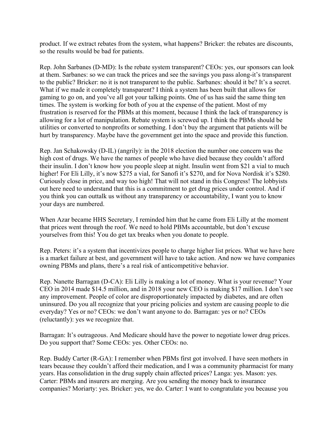product. If we extract rebates from the system, what happens? Bricker: the rebates are discounts, so the results would be bad for patients.

Rep. John Sarbanes (D-MD): Is the rebate system transparent? CEOs: yes, our sponsors can look at them. Sarbanes: so we can track the prices and see the savings you pass along-it's transparent to the public? Bricker: no it is not transparent to the public. Sarbanes: should it be? It's a secret. What if we made it completely transparent? I think a system has been built that allows for gaming to go on, and you've all got your talking points. One of us has said the same thing ten times. The system is working for both of you at the expense of the patient. Most of my frustration is reserved for the PBMs at this moment, because I think the lack of transparency is allowing for a lot of manipulation. Rebate system is screwed up. I think the PBMs should be utilities or converted to nonprofits or something. I don't buy the argument that patients will be hurt by transparency. Maybe have the government get into the space and provide this function.

Rep. Jan Schakowsky (D-IL) (angrily): in the 2018 election the number one concern was the high cost of drugs. We have the names of people who have died because they couldn't afford their insulin. I don't know how you people sleep at night. Insulin went from \$21 a vial to much higher! For Eli Lilly, it's now \$275 a vial, for Sanofi it's \$270, and for Nova Nordisk it's \$280. Curiously close in price, and way too high! That will not stand in this Congress! The lobbyists out here need to understand that this is a commitment to get drug prices under control. And if you think you can outtalk us without any transparency or accountability, I want you to know your days are numbered.

When Azar became HHS Secretary, I reminded him that he came from Eli Lilly at the moment that prices went through the roof. We need to hold PBMs accountable, but don't excuse yourselves from this! You do get tax breaks when you donate to people.

Rep. Peters: it's a system that incentivizes people to charge higher list prices. What we have here is a market failure at best, and government will have to take action. And now we have companies owning PBMs and plans, there's a real risk of anticompetitive behavior.

Rep. Nanette Barragan (D-CA): Eli Lilly is making a lot of money. What is your revenue? Your CEO in 2014 made \$14.5 million, and in 2018 your new CEO is making \$17 million. I don't see any improvement. People of color are disproportionately impacted by diabetes, and are often uninsured. Do you all recognize that your pricing policies and system are causing people to die everyday? Yes or no? CEOs: we don't want anyone to do. Barragan: yes or no? CEOs (reluctantly): yes we recognize that.

Barragan: It's outrageous. And Medicare should have the power to negotiate lower drug prices. Do you support that? Some CEOs: yes. Other CEOs: no.

Rep. Buddy Carter (R-GA): I remember when PBMs first got involved. I have seen mothers in tears because they couldn't afford their medication, and I was a community pharmacist for many years. Has consolidation in the drug supply chain affected prices? Langa: yes. Mason: yes. Carter: PBMs and insurers are merging. Are you sending the money back to insurance companies? Moriarty: yes. Bricker: yes, we do. Carter: I want to congratulate you because you